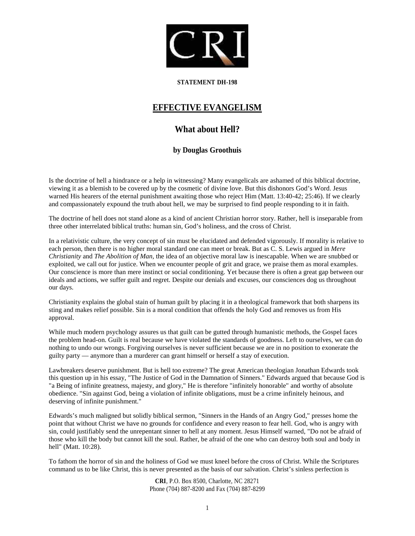

## **STATEMENT DH-198**

## **EFFECTIVE EVANGELISM**

## **What about Hell?**

## **by Douglas Groothuis**

Is the doctrine of hell a hindrance or a help in witnessing? Many evangelicals are ashamed of this biblical doctrine, viewing it as a blemish to be covered up by the cosmetic of divine love. But this dishonors God's Word. Jesus warned His hearers of the eternal punishment awaiting those who reject Him (Matt. 13:40-42; 25:46). If we clearly and compassionately expound the truth about hell, we may be surprised to find people responding to it in faith.

The doctrine of hell does not stand alone as a kind of ancient Christian horror story. Rather, hell is inseparable from three other interrelated biblical truths: human sin, God's holiness, and the cross of Christ.

In a relativistic culture, the very concept of sin must be elucidated and defended vigorously. If morality is relative to each person, then there is no higher moral standard one can meet or break. But as C. S. Lewis argued in *Mere Christianity* and *The Abolition of Man,* the idea of an objective moral law is inescapable. When we are snubbed or exploited, we call out for justice. When we encounter people of grit and grace, we praise them as moral examples. Our conscience is more than mere instinct or social conditioning. Yet because there is often a great gap between our ideals and actions, we suffer guilt and regret. Despite our denials and excuses, our consciences dog us throughout our days.

Christianity explains the global stain of human guilt by placing it in a theological framework that both sharpens its sting and makes relief possible. Sin is a moral condition that offends the holy God and removes us from His approval.

While much modern psychology assures us that guilt can be gutted through humanistic methods, the Gospel faces the problem head-on. Guilt is real because we have violated the standards of goodness. Left to ourselves, we can do nothing to undo our wrongs. Forgiving ourselves is never sufficient because we are in no position to exonerate the guilty party — anymore than a murderer can grant himself or herself a stay of execution.

Lawbreakers deserve punishment. But is hell too extreme? The great American theologian Jonathan Edwards took this question up in his essay, "The Justice of God in the Damnation of Sinners." Edwards argued that because God is "a Being of infinite greatness, majesty, and glory," He is therefore "infinitely honorable" and worthy of absolute obedience. "Sin against God, being a violation of infinite obligations, must be a crime infinitely heinous, and deserving of infinite punishment."

Edwards's much maligned but solidly biblical sermon, "Sinners in the Hands of an Angry God," presses home the point that without Christ we have no grounds for confidence and every reason to fear hell. God, who is angry with sin, could justifiably send the unrepentant sinner to hell at any moment. Jesus Himself warned, "Do not be afraid of those who kill the body but cannot kill the soul. Rather, be afraid of the one who can destroy both soul and body in hell" (Matt. 10:28).

To fathom the horror of sin and the holiness of God we must kneel before the cross of Christ. While the Scriptures command us to be like Christ, this is never presented as the basis of our salvation. Christ's sinless perfection is

> **CRI**, P.O. Box 8500, Charlotte, NC 28271 Phone (704) 887-8200 and Fax (704) 887-8299